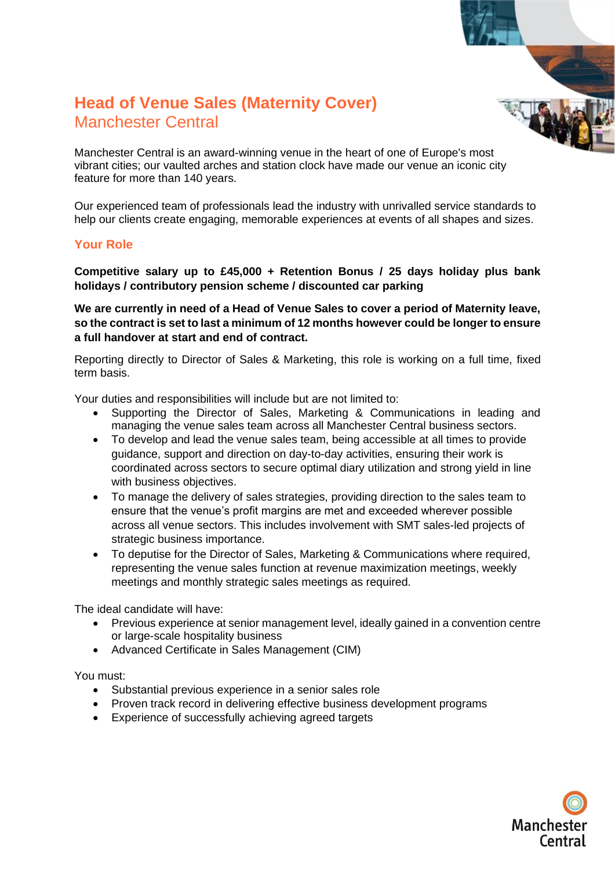## **Head of Venue Sales (Maternity Cover)**  Manchester Central

Manchester Central is an award-winning venue in the heart of one of Europe's most vibrant cities; our vaulted arches and station clock have made our venue an iconic city feature for more than 140 years.

Our experienced team of professionals lead the industry with unrivalled service standards to help our clients create engaging, memorable experiences at events of all shapes and sizes.

#### **Your Role**

**Competitive salary up to £45,000 + Retention Bonus / 25 days holiday plus bank holidays / contributory pension scheme / discounted car parking**

**We are currently in need of a Head of Venue Sales to cover a period of Maternity leave, so the contract is set to last a minimum of 12 months however could be longer to ensure a full handover at start and end of contract.** 

Reporting directly to Director of Sales & Marketing, this role is working on a full time, fixed term basis.

Your duties and responsibilities will include but are not limited to:

- Supporting the Director of Sales, Marketing & Communications in leading and managing the venue sales team across all Manchester Central business sectors.
- To develop and lead the venue sales team, being accessible at all times to provide guidance, support and direction on day-to-day activities, ensuring their work is coordinated across sectors to secure optimal diary utilization and strong yield in line with business objectives.
- To manage the delivery of sales strategies, providing direction to the sales team to ensure that the venue's profit margins are met and exceeded wherever possible across all venue sectors. This includes involvement with SMT sales-led projects of strategic business importance.
- To deputise for the Director of Sales, Marketing & Communications where required, representing the venue sales function at revenue maximization meetings, weekly meetings and monthly strategic sales meetings as required.

The ideal candidate will have:

- Previous experience at senior management level, ideally gained in a convention centre or large-scale hospitality business
- Advanced Certificate in Sales Management (CIM)

You must:

- Substantial previous experience in a senior sales role
- Proven track record in delivering effective business development programs
- Experience of successfully achieving agreed targets

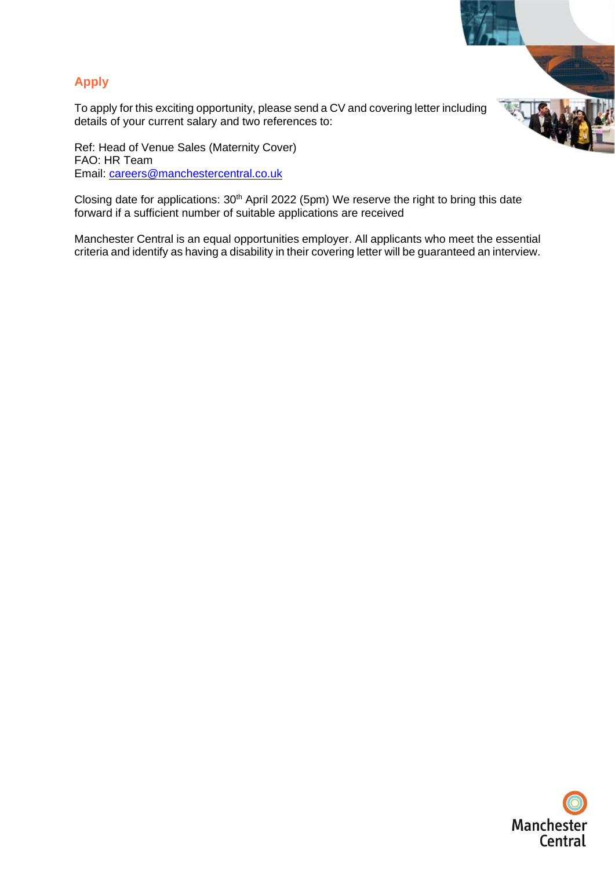

To apply for this exciting opportunity, please send a CV and covering letter including details of your current salary and two references to:

Ref: Head of Venue Sales (Maternity Cover) FAO: HR Team Email: [careers@manchestercentral.co.uk](mailto:careers@manchestercentral.co.uk)

Closing date for applications: 30<sup>th</sup> April 2022 (5pm) We reserve the right to bring this date forward if a sufficient number of suitable applications are received

Manchester Central is an equal opportunities employer. All applicants who meet the essential criteria and identify as having a disability in their covering letter will be guaranteed an interview.



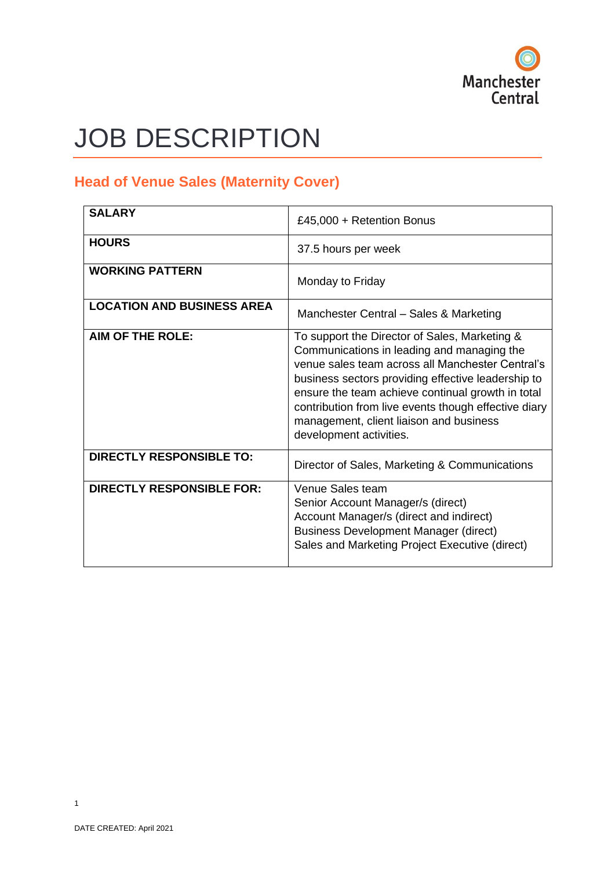

# JOB DESCRIPTION

### **Head of Venue Sales (Maternity Cover)**

| <b>SALARY</b>                     | £45,000 + Retention Bonus                                                                                                                                                                                                                                                                                                                                                                |  |
|-----------------------------------|------------------------------------------------------------------------------------------------------------------------------------------------------------------------------------------------------------------------------------------------------------------------------------------------------------------------------------------------------------------------------------------|--|
| <b>HOURS</b>                      | 37.5 hours per week                                                                                                                                                                                                                                                                                                                                                                      |  |
| <b>WORKING PATTERN</b>            | Monday to Friday                                                                                                                                                                                                                                                                                                                                                                         |  |
| <b>LOCATION AND BUSINESS AREA</b> | Manchester Central - Sales & Marketing                                                                                                                                                                                                                                                                                                                                                   |  |
| <b>AIM OF THE ROLE:</b>           | To support the Director of Sales, Marketing &<br>Communications in leading and managing the<br>venue sales team across all Manchester Central's<br>business sectors providing effective leadership to<br>ensure the team achieve continual growth in total<br>contribution from live events though effective diary<br>management, client liaison and business<br>development activities. |  |
| <b>DIRECTLY RESPONSIBLE TO:</b>   | Director of Sales, Marketing & Communications                                                                                                                                                                                                                                                                                                                                            |  |
| <b>DIRECTLY RESPONSIBLE FOR:</b>  | Venue Sales team<br>Senior Account Manager/s (direct)<br>Account Manager/s (direct and indirect)<br><b>Business Development Manager (direct)</b><br>Sales and Marketing Project Executive (direct)                                                                                                                                                                                       |  |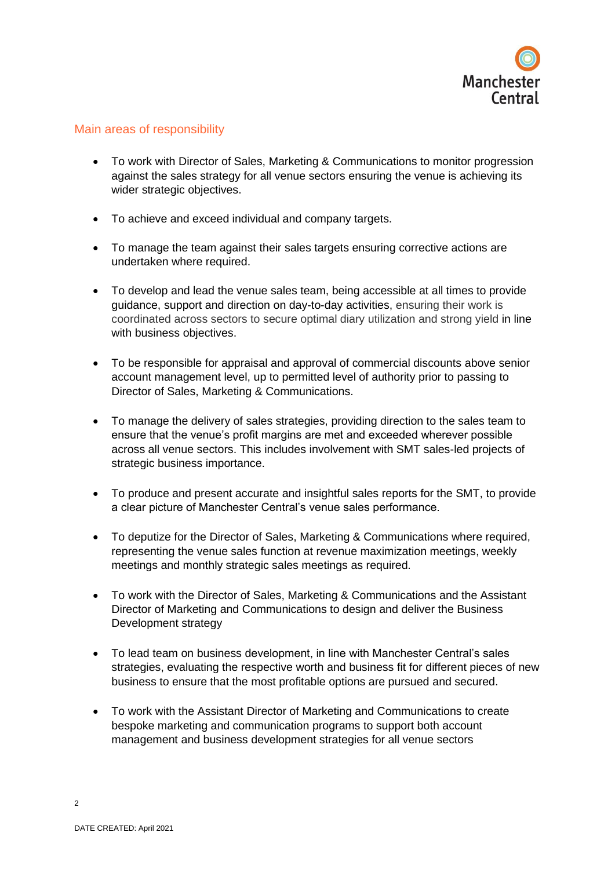

#### Main areas of responsibility

- To work with Director of Sales, Marketing & Communications to monitor progression against the sales strategy for all venue sectors ensuring the venue is achieving its wider strategic objectives.
- To achieve and exceed individual and company targets.
- To manage the team against their sales targets ensuring corrective actions are undertaken where required.
- To develop and lead the venue sales team, being accessible at all times to provide guidance, support and direction on day-to-day activities, ensuring their work is coordinated across sectors to secure optimal diary utilization and strong yield in line with business objectives.
- To be responsible for appraisal and approval of commercial discounts above senior account management level, up to permitted level of authority prior to passing to Director of Sales, Marketing & Communications.
- To manage the delivery of sales strategies, providing direction to the sales team to ensure that the venue's profit margins are met and exceeded wherever possible across all venue sectors. This includes involvement with SMT sales-led projects of strategic business importance.
- To produce and present accurate and insightful sales reports for the SMT, to provide a clear picture of Manchester Central's venue sales performance.
- To deputize for the Director of Sales, Marketing & Communications where required, representing the venue sales function at revenue maximization meetings, weekly meetings and monthly strategic sales meetings as required.
- To work with the Director of Sales, Marketing & Communications and the Assistant Director of Marketing and Communications to design and deliver the Business Development strategy
- To lead team on business development, in line with Manchester Central's sales strategies, evaluating the respective worth and business fit for different pieces of new business to ensure that the most profitable options are pursued and secured.
- To work with the Assistant Director of Marketing and Communications to create bespoke marketing and communication programs to support both account management and business development strategies for all venue sectors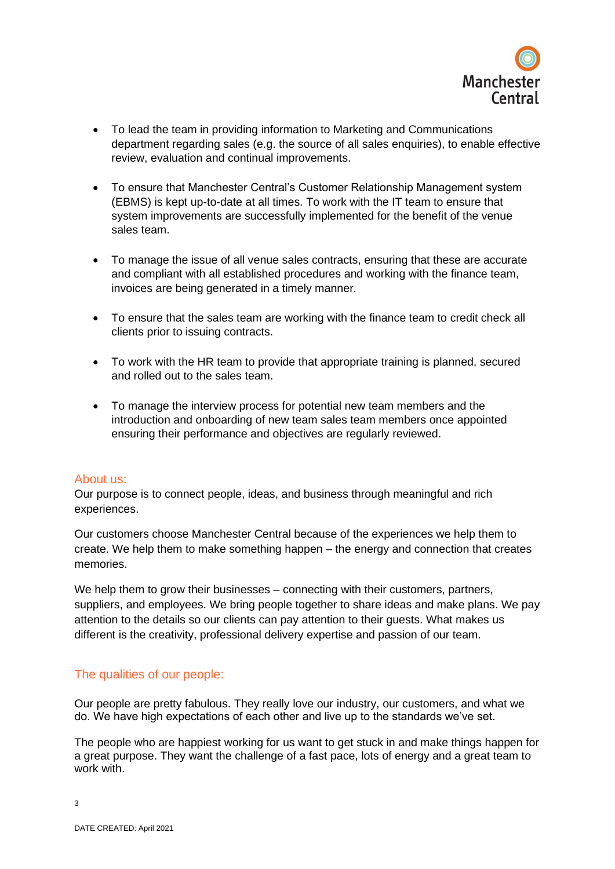

- To lead the team in providing information to Marketing and Communications department regarding sales (e.g. the source of all sales enquiries), to enable effective review, evaluation and continual improvements.
- To ensure that Manchester Central's Customer Relationship Management system (EBMS) is kept up-to-date at all times. To work with the IT team to ensure that system improvements are successfully implemented for the benefit of the venue sales team.
- To manage the issue of all venue sales contracts, ensuring that these are accurate and compliant with all established procedures and working with the finance team, invoices are being generated in a timely manner.
- To ensure that the sales team are working with the finance team to credit check all clients prior to issuing contracts.
- To work with the HR team to provide that appropriate training is planned, secured and rolled out to the sales team.
- To manage the interview process for potential new team members and the introduction and onboarding of new team sales team members once appointed ensuring their performance and objectives are regularly reviewed.

#### About us:

Our purpose is to connect people, ideas, and business through meaningful and rich experiences.

Our customers choose Manchester Central because of the experiences we help them to create. We help them to make something happen – the energy and connection that creates memories.

We help them to grow their businesses – connecting with their customers, partners, suppliers, and employees. We bring people together to share ideas and make plans. We pay attention to the details so our clients can pay attention to their guests. What makes us different is the creativity, professional delivery expertise and passion of our team.

#### The qualities of our people:

Our people are pretty fabulous. They really love our industry, our customers, and what we do. We have high expectations of each other and live up to the standards we've set.

The people who are happiest working for us want to get stuck in and make things happen for a great purpose. They want the challenge of a fast pace, lots of energy and a great team to work with.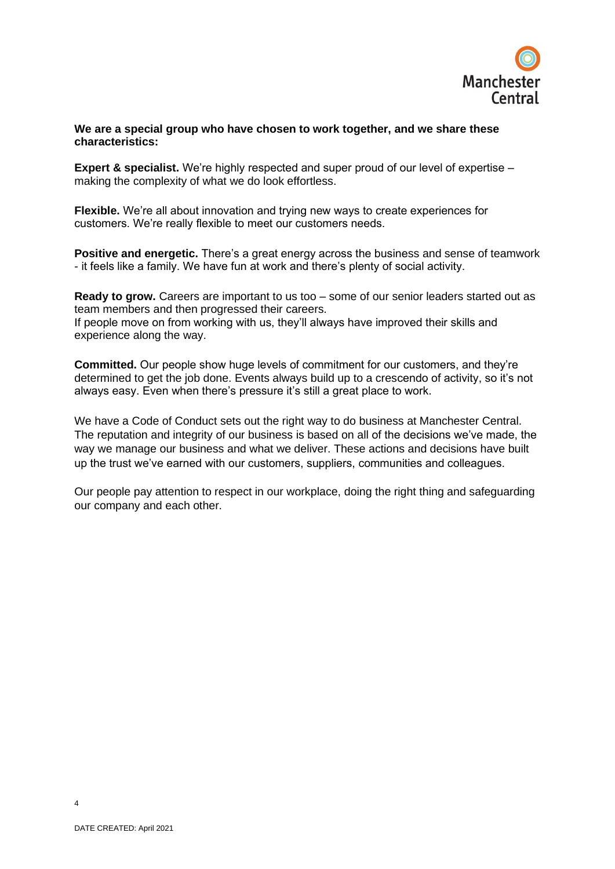

#### **We are a special group who have chosen to work together, and we share these characteristics:**

**Expert & specialist.** We're highly respected and super proud of our level of expertise – making the complexity of what we do look effortless.

**Flexible.** We're all about innovation and trying new ways to create experiences for customers. We're really flexible to meet our customers needs.

**Positive and energetic.** There's a great energy across the business and sense of teamwork - it feels like a family. We have fun at work and there's plenty of social activity.

**Ready to grow.** Careers are important to us too – some of our senior leaders started out as team members and then progressed their careers. If people move on from working with us, they'll always have improved their skills and experience along the way.

**Committed.** Our people show huge levels of commitment for our customers, and they're determined to get the job done. Events always build up to a crescendo of activity, so it's not always easy. Even when there's pressure it's still a great place to work.

We have a Code of Conduct sets out the right way to do business at Manchester Central. The reputation and integrity of our business is based on all of the decisions we've made, the way we manage our business and what we deliver. These actions and decisions have built up the trust we've earned with our customers, suppliers, communities and colleagues.

Our people pay attention to respect in our workplace, doing the right thing and safeguarding our company and each other.